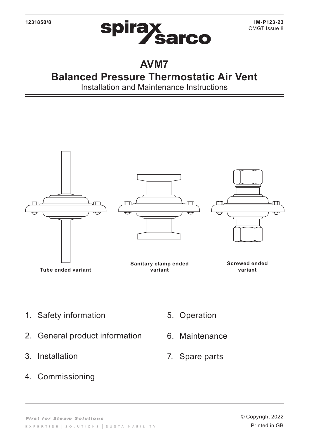

## **AVM7**



Installation and Maintenance Instructions



- 1. Safety information
- 2. General product information
- 3. Installation
- 4. Commissioning
- 5. Operation
- 6. Maintenance
- 7. Spare parts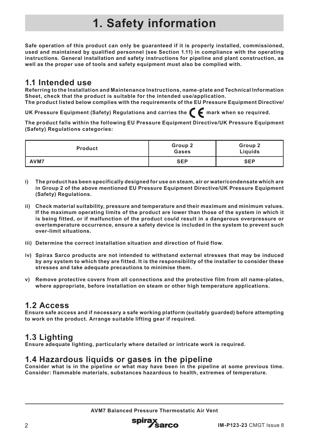# **1. Safety information**

**Safe operation of this product can only be guaranteed if it is properly installed, commissioned, used and maintained by qualified personnel (see Section 1.11) in compliance with the operating instructions. General installation and safety instructions for pipeline and plant construction, as well as the proper use of tools and safety equipment must also be complied with.**

### **1.1 Intended use**

**Referring to the Installation and Maintenance Instructions, name-plate and Technical Information Sheet, check that the product is suitable for the intended use/application. The product listed below complies with the requirements of the EU Pressure Equipment Directive/**

UK Pressure Equipment (Safety) Regulations and carries the **C** mark when so required.

**The product falls within the following EU Pressure Equipment Directive/UK Pressure Equipment (Safety) Regulations categories:**

| Product | Group 2<br>Gases | Group 2<br>Liquids |  |  |
|---------|------------------|--------------------|--|--|
| AVM7    | <b>SEP</b>       | <b>SEP</b>         |  |  |

- **i) The product has been specifically designed for use on steam, air or water/condensate which are in Group 2 of the above mentioned EU Pressure Equipment Directive/UK Pressure Equipment (Safety) Regulations.**
- **ii) Check material suitability, pressure and temperature and their maximum and minimum values. If the maximum operating limits of the product are lower than those of the system in which it is being fitted, or if malfunction of the product could result in a dangerous overpressure or overtemperature occurrence, ensure a safety device is included in the system to prevent such over-limit situations.**
- **iii) Determine the correct installation situation and direction of fluid flow.**
- **iv) Spirax Sarco products are not intended to withstand external stresses that may be induced by any system to which they are fitted. It is the responsibility of the installer to consider these stresses and take adequate precautions to minimise them.**
- **v) Remove protective covers from all connections and the protective film from all name-plates, where appropriate, before installation on steam or other high temperature applications.**

#### **1.2 Access**

**Ensure safe access and if necessary a safe working platform (suitably guarded) before attempting to work on the product. Arrange suitable lifting gear if required.**

### **1.3 Lighting**

**Ensure adequate lighting, particularly where detailed or intricate work is required.**

#### **1.4 Hazardous liquids or gases in the pipeline**

**Consider what is in the pipeline or what may have been in the pipeline at some previous time. Consider: flammable materials, substances hazardous to health, extremes of temperature.**

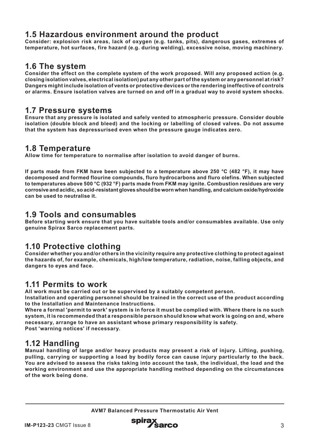#### **1.5 Hazardous environment around the product**

**Consider: explosion risk areas, lack of oxygen (e.g. tanks, pits), dangerous gases, extremes of temperature, hot surfaces, fire hazard (e.g. during welding), excessive noise, moving machinery.**

#### **1.6 The system**

**Consider the effect on the complete system of the work proposed. Will any proposed action (e.g. closing isolation valves, electrical isolation) put any other part of the system or any personnel at risk? Dangers might include isolation of vents or protective devices or the rendering ineffective of controls or alarms. Ensure isolation valves are turned on and off in a gradual way to avoid system shocks.**

#### **1.7 Pressure systems**

**Ensure that any pressure is isolated and safely vented to atmospheric pressure. Consider double isolation (double block and bleed) and the locking or labelling of closed valves. Do not assume that the system has depressurised even when the pressure gauge indicates zero.**

#### **1.8 Temperature**

**Allow time for temperature to normalise after isolation to avoid danger of burns.**

**If parts made from FKM have been subjected to a temperature above 250 °C (482 °F), it may have decomposed and formed flourine compounds, fluro hydrocarbons and fluro olefins. When subjected to temperatures above 500 °C (932 °F) parts made from FKM may ignite. Combustion residues are very corrosive and acidic, so acid-resistant gloves should be worn when handling, and calcium oxide/hydroxide can be used to neutralise it.**

#### **1.9 Tools and consumables**

**Before starting work ensure that you have suitable tools and/or consumables available. Use only genuine Spirax Sarco replacement parts.**

#### **1.10 Protective clothing**

**Consider whether you and/or others in the vicinity require any protective clothing to protect against the hazards of, for example, chemicals, high/low temperature, radiation, noise, falling objects, and dangers to eyes and face.**

#### **1.11 Permits to work**

**All work must be carried out or be supervised by a suitably competent person.**

**Installation and operating personnel should be trained in the correct use of the product according to the Installation and Maintenance Instructions.**

**Where a formal 'permit to work' system is in force it must be complied with. Where there is no such system, it is recommended that a responsible person should know what work is going on and, where necessary, arrange to have an assistant whose primary responsibility is safety. Post 'warning notices' if necessary.**

#### **1.12 Handling**

**Manual handling of large and/or heavy products may present a risk of injury. Lifting, pushing, pulling, carrying or supporting a load by bodily force can cause injury particularly to the back. You are advised to assess the risks taking into account the task, the individual, the load and the working environment and use the appropriate handling method depending on the circumstances of the work being done.**

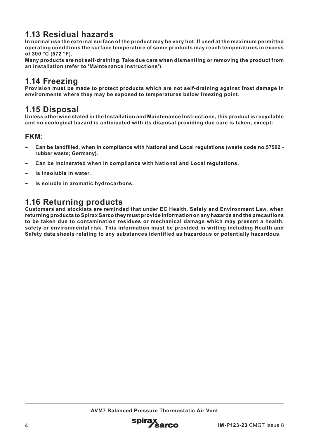## **1.13 Residual hazards**

**In normal use the external surface of the product may be very hot. If used at the maximum permitted operating conditions the surface temperature of some products may reach temperatures in excess of 300 °C (572 °F).**

**Many products are not self-draining. Take due care when dismantling or removing the product from an installation (refer to 'Maintenance instructions').**

### **1.14 Freezing**

**Provision must be made to protect products which are not self-draining against frost damage in environments where they may be exposed to temperatures below freezing point.**

### **1.15 Disposal**

**Unless otherwise stated in the Installation and Maintenance Instructions, this product is recyclable and no ecological hazard is anticipated with its disposal providing due care is taken, except:**

#### **FKM:**

- **- Can be landfilled, when in compliance with National and Local regulations (waste code no.57502 rubber waste; Germany).**
- **- Can be incinerated when in compliance with National and Local regulations.**
- **- Is insoluble in water.**
- **- Is soluble in aromatic hydrocarbons.**

### **1.16 Returning products**

**Customers and stockists are reminded that under EC Health, Safety and Environment Law, when returning products to Spirax Sarco they must provide information on any hazards and the precautions to be taken due to contamination residues or mechanical damage which may present a health, safety or environmental risk. This information must be provided in writing including Health and Safety data sheets relating to any substances identified as hazardous or potentially hazardous.**

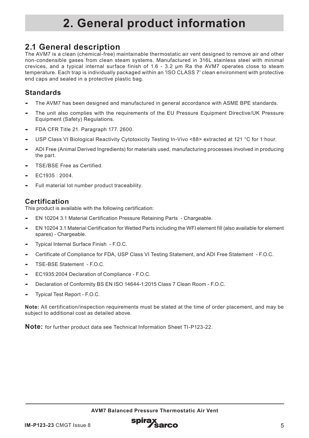## **2. General product information**

#### **2.1 General description**

The AVM7 is a clean (chemical-free) maintainable thermostatic air vent designed to remove air and other non-condensible gases from clean steam systems. Manufactured in 316L stainless steel with minimal crevices, and a typical internal surface finish of 1.6 - 3.2 µm Ra the AVM7 operates close to steam temperature. Each trap is individually packaged within an 'ISO CLASS 7' clean environment with protective end caps and sealed in a protective plastic bag.

#### **Standards**

- The AVM7 has been designed and manufactured in general accordance with ASME BPE standards.
- The unit also complies with the requirements of the EU Pressure Equipment Directive/UK Pressure Equipment (Safety) Regulations.
- FDA CFR Title 21. Paragraph 177. 2600.
- USP Class VI Biological Reactivity Cytotoxicity Testing In-Vivo <88> extracted at 121 °C for 1 hour.
- ADI Free (Animal Derived Ingredients) for materials used, manufacturing processes involved in producing the part.
- TSE/BSE Free as Certified.
- EC1935 : 2004.
- Full material lot number product traceability.

#### **Certification**

This product is available with the following certification:

- EN 10204 3.1 Material Certification Pressure Retaining Parts Chargeable.
- EN 10204 3.1 Material Certification for Wetted Parts including the WFI element fill (also available for element spares) - Chargeable.
- Typical Internal Surface Finish F.O.C.
- Certificate of Compliance for FDA, USP Class VI Testing Statement, and ADI Free Statement F.O.C.
- TSE-BSE Statement F.O.C.
- EC1935:2004 Declaration of Compliance F.O.C.
- Declaration of Conformity BS EN ISO 14644-1:2015 Class 7 Clean Room F.O.C.
- Typical Test Report F.O.C.

**Note:** All certification/inspection requirements must be stated at the time of order placement, and may be subject to additional cost as detailed above.

**Note:** for further product data see Technical Information Sheet TI-P123-22.

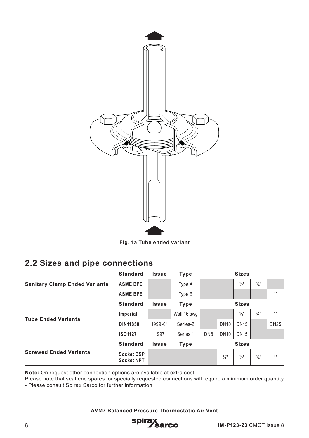

**Fig. 1a Tube ended variant**

#### **2.2 Sizes and pipe connections**

|                                      | <b>Standard</b>                        | <b>Issue</b> | <b>Type</b>         | <b>Sizes</b>    |               |               |                 |             |
|--------------------------------------|----------------------------------------|--------------|---------------------|-----------------|---------------|---------------|-----------------|-------------|
| <b>Sanitary Clamp Ended Variants</b> | <b>ASME BPE</b>                        |              | Type A              |                 |               | $\frac{1}{2}$ | $\frac{3}{4}$ " |             |
|                                      | <b>ASME BPE</b>                        |              | Type B              |                 |               |               |                 | 1"          |
| <b>Tube Ended Variants</b>           | Standard                               | <b>Issue</b> | <b>Type</b>         | <b>Sizes</b>    |               |               |                 |             |
|                                      | Imperial                               |              | Wall 16 swg         |                 |               | $\frac{1}{2}$ | $\frac{3}{4}$ " | 1"          |
|                                      | <b>DIN11850</b>                        | 1999-01      | Series-2            |                 | <b>DN10</b>   | <b>DN15</b>   |                 | <b>DN25</b> |
|                                      | ISO1127                                | 1997         | Series <sub>1</sub> | DN <sub>8</sub> | <b>DN10</b>   | <b>DN15</b>   |                 |             |
| <b>Screwed Ended Variants</b>        | <b>Standard</b>                        | <b>Issue</b> | <b>Type</b>         | <b>Sizes</b>    |               |               |                 |             |
|                                      | <b>Socket BSP</b><br><b>Socket NPT</b> |              |                     |                 | $\frac{1}{4}$ | $\frac{1}{2}$ | $\frac{3}{4}$ " | 1"          |

**Note:** On request other connection options are available at extra cost.

Please note that seat end spares for specially requested connections will require a minimum order quantity - Please consult Spirax Sarco for further information.

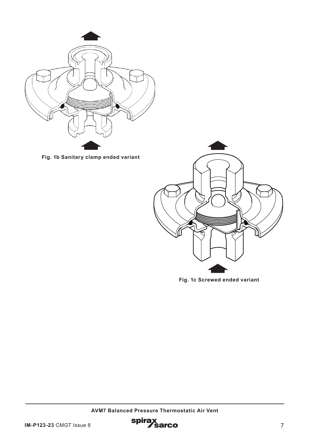

**Fig. 1c Screwed ended variant**

**AVM7 Balanced Pressure Thermostatic Air Vent**

**IM-P123-23 CMGT Issue 8 Spirax Sarco** 7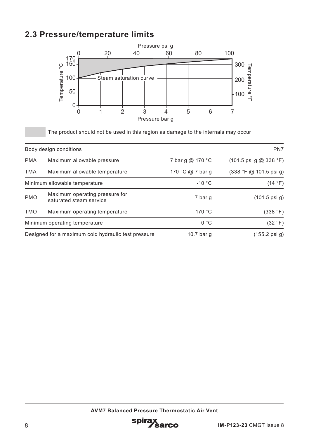## **2.3 Pressure/temperature limits**



The product should not be used in this region as damage to the internals may occur

|                               | Body design conditions                                    |                  | PN7                                                |  |
|-------------------------------|-----------------------------------------------------------|------------------|----------------------------------------------------|--|
| <b>PMA</b>                    | Maximum allowable pressure                                | 7 bar g @ 170 °C | $(101.5 \text{ psi } q \text{ @ } 338 \text{ °F})$ |  |
| <b>TMA</b>                    | Maximum allowable temperature                             | 170 °C @ 7 bar q | $(338 °F @ 101.5 \text{ psi g})$                   |  |
| Minimum allowable temperature |                                                           | $-10 °C$         | (14 °F)                                            |  |
| <b>PMO</b>                    | Maximum operating pressure for<br>saturated steam service | 7 bar q          | $(101.5 \text{ psi } q)$                           |  |
| <b>TMO</b>                    | Maximum operating temperature                             | 170 °C           | (338 °F)                                           |  |
|                               | Minimum operating temperature                             | 0 °C             | $(32 \degree F)$                                   |  |
|                               | Designed for a maximum cold hydraulic test pressure       | 10.7 bar q       | $(155.2 \text{ psi g})$                            |  |

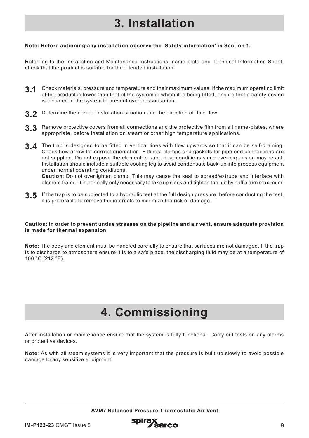# **3. Installation**

#### **Note: Before actioning any installation observe the 'Safety information' in Section 1.**

Referring to the Installation and Maintenance Instructions, name-plate and Technical Information Sheet, check that the product is suitable for the intended installation:

- **3.1** Check materials, pressure and temperature and their maximum values. If the maximum operating limit of the product is lower than that of the system in which it is being fitted, ensure that a safety device is included in the system to prevent overpressurisation.
- **3.2** Determine the correct installation situation and the direction of fluid flow.
- **3.3** Remove protective covers from all connections and the protective film from all name-plates, where appropriate, before installation on steam or other high temperature applications.
- **3.4** The trap is designed to be fitted in vertical lines with flow upwards so that it can be self-draining. Check flow arrow for correct orientation. Fittings, clamps and gaskets for pipe end connections are not supplied. Do not expose the element to superheat conditions since over expansion may result. Installation should include a suitable cooling leg to avoid condensate back-up into process equipment under normal operating conditions.

**Caution**: Do not overtighten clamp. This may cause the seal to spread/extrude and interface with element frame. It is normally only necessary to take up slack and tighten the nut by half a turn maximum.

**3.5** If the trap is to be subjected to a hydraulic test at the full design pressure, before conducting the test, it is preferable to remove the internals to minimize the risk of damage.

#### **Caution: In order to prevent undue stresses on the pipeline and air vent, ensure adequate provision is made for thermal expansion.**

**Note:** The body and element must be handled carefully to ensure that surfaces are not damaged. If the trap is to discharge to atmosphere ensure it is to a safe place, the discharging fluid may be at a temperature of 100 °C (212 °F).

## **4. Commissioning**

After installation or maintenance ensure that the system is fully functional. Carry out tests on any alarms or protective devices.

**Note**: As with all steam systems it is very important that the pressure is built up slowly to avoid possible damage to any sensitive equipment.

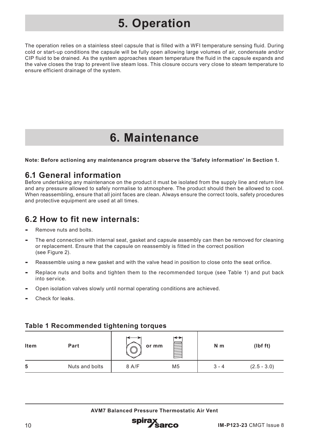# **5. Operation**

The operation relies on a stainless steel capsule that is filled with a WFI temperature sensing fluid. During cold or start-up conditions the capsule will be fully open allowing large volumes of air, condensate and/or CIP fluid to be drained. As the system approaches steam temperature the fluid in the capsule expands and the valve closes the trap to prevent live steam loss. This closure occurs very close to steam temperature to ensure efficient drainage of the system.

## **6. Maintenance**

#### **Note: Before actioning any maintenance program observe the 'Safety information' in Section 1.**

#### **6.1 General information**

Before undertaking any maintenance on the product it must be isolated from the supply line and return line and any pressure allowed to safely normalise to atmosphere. The product should then be allowed to cool. When reassembling, ensure that all joint faces are clean. Always ensure the correct tools, safety procedures and protective equipment are used at all times.

### **6.2 How to fit new internals:**

- Remove nuts and bolts.
- The end connection with internal seat, gasket and capsule assembly can then be removed for cleaning or replacement. Ensure that the capsule on reassembly is fitted in the correct position (see Figure 2).
- Reassemble using a new gasket and with the valve head in position to close onto the seat orifice.
- Replace nuts and bolts and tighten them to the recommended torque (see Table 1) and put back into service.
- Open isolation valves slowly until normal operating conditions are achieved.
- Check for leaks.

#### **Table 1 Recommended tightening torques**

| Item | Part           | or mm<br>▱ | ⊷<br>≡<br>亖    | N <sub>m</sub> | (lbf ft)      |
|------|----------------|------------|----------------|----------------|---------------|
| 5    | Nuts and bolts | 8 A/F      | M <sub>5</sub> | $3 - 4$        | $(2.5 - 3.0)$ |

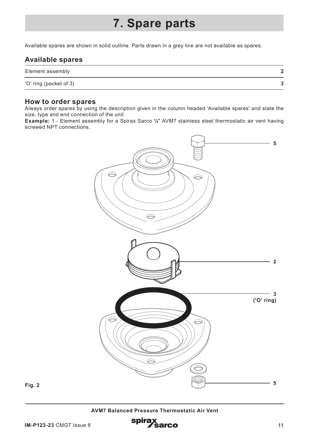# **7. Spare parts**

Available spares are shown in solid outline. Parts drawn in a grey line are not available as spares.

#### **Available spares**

| Element assembly       |  |
|------------------------|--|
| 'O' ring (packet of 3) |  |

#### **How to order spares**

Always order spares by using the description given in the column headed 'Available spares' and state the size, type and end connection of the unit.

**Example:** 1 - Element assembly for a Spirax Sarco **½**" AVM7 stainless steel thermostatic air vent having screwed NPT connections.



**AVM7 Balanced Pressure Thermostatic Air Vent**